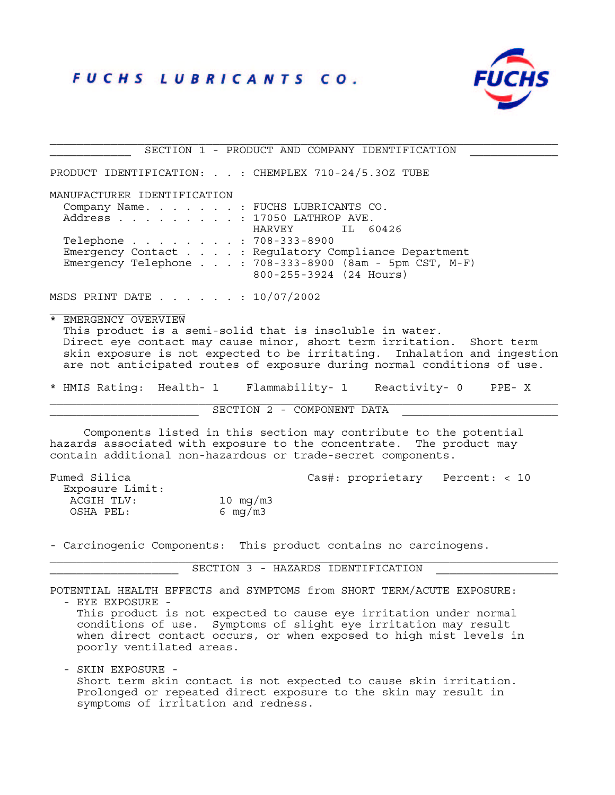# FUCHS LUBRICANTS CO.



SECTION 1 - PRODUCT AND COMPANY IDENTIFICATION PRODUCT IDENTIFICATION: . . : CHEMPLEX 710-24/5.3OZ TUBE MANUFACTURER IDENTIFICATION Company Name. . . . . . . : FUCHS LUBRICANTS CO. Address . . . . . . . . . : 17050 LATHROP AVE.<br>HARVEY IL 6 HARVEY IL 60426 Telephone . . . . . . . . : 708-333-8900 Emergency Contact . . . . : Regulatory Compliance Department Emergency Telephone . . . : 708-333-8900 (8am - 5pm CST, M-F) 800-255-3924 (24 Hours) MSDS PRINT DATE . . . . . . : 10/07/2002 \* EMERGENCY OVERVIEW This product is a semi-solid that is insoluble in water. Direct eye contact may cause minor, short term irritation. Short term skin exposure is not expected to be irritating. Inhalation and ingestion are not anticipated routes of exposure during normal conditions of use. \* HMIS Rating: Health- 1 Flammability- 1 Reactivity- 0 PPE- X SECTION 2 - COMPONENT DATA Components listed in this section may contribute to the potential hazards associated with exposure to the concentrate. The product may contain additional non-hazardous or trade-secret components. Fumed Silica Cas#: proprietary Percent: < 10 Exposure Limit: ACGIH TLV: 10 mg/m3 OSHA PEL: 6 mg/m3

- Carcinogenic Components: This product contains no carcinogens.

SECTION 3 - HAZARDS IDENTIFICATION

POTENTIAL HEALTH EFFECTS and SYMPTOMS from SHORT TERM/ACUTE EXPOSURE:

- EYE EXPOSURE -

 This product is not expected to cause eye irritation under normal conditions of use. Symptoms of slight eye irritation may result when direct contact occurs, or when exposed to high mist levels in poorly ventilated areas.

 - SKIN EXPOSURE - Short term skin contact is not expected to cause skin irritation. Prolonged or repeated direct exposure to the skin may result in symptoms of irritation and redness.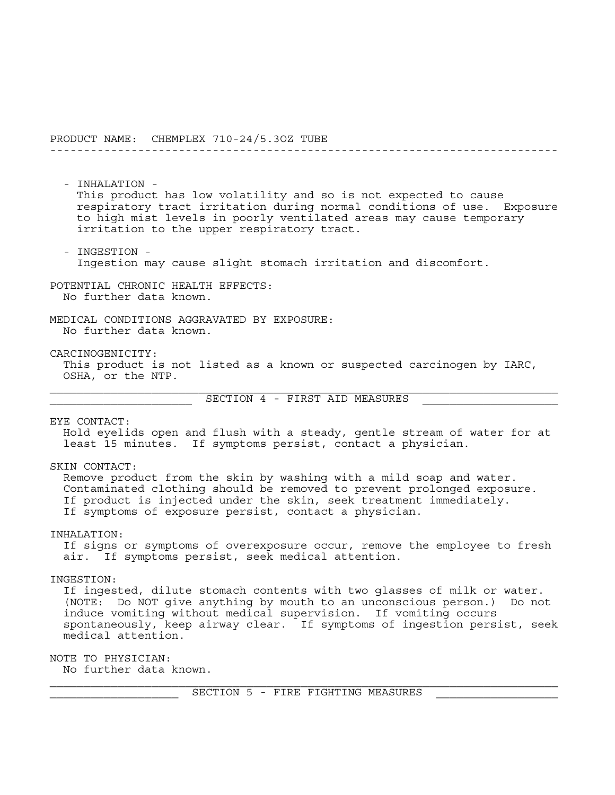PRODUCT NAME: CHEMPLEX 710-24/5.3OZ TUBE --------------------------------------------------------------------------- - INHALATION - This product has low volatility and so is not expected to cause respiratory tract irritation during normal conditions of use. Exposure to high mist levels in poorly ventilated areas may cause temporary irritation to the upper respiratory tract. - INGESTION - Ingestion may cause slight stomach irritation and discomfort. POTENTIAL CHRONIC HEALTH EFFECTS: No further data known. MEDICAL CONDITIONS AGGRAVATED BY EXPOSURE: No further data known. CARCINOGENICITY: This product is not listed as a known or suspected carcinogen by IARC, OSHA, or the NTP. \_\_\_\_\_\_\_\_\_\_\_\_\_\_\_\_\_\_\_\_\_ SECTION 4 - FIRST AID MEASURES \_\_\_\_\_\_\_\_\_\_\_\_\_\_\_\_\_\_\_\_ EYE CONTACT: Hold eyelids open and flush with a steady, gentle stream of water for at least 15 minutes. If symptoms persist, contact a physician. SKIN CONTACT: Remove product from the skin by washing with a mild soap and water. Contaminated clothing should be removed to prevent prolonged exposure. If product is injected under the skin, seek treatment immediately. If symptoms of exposure persist, contact a physician. INHALATION: If signs or symptoms of overexposure occur, remove the employee to fresh air. If symptoms persist, seek medical attention. INGESTION: If ingested, dilute stomach contents with two glasses of milk or water. (NOTE: Do NOT give anything by mouth to an unconscious person.) Do not induce vomiting without medical supervision. If vomiting occurs spontaneously, keep airway clear. If symptoms of ingestion persist, seek medical attention. NOTE TO PHYSICIAN: No further data known.

SECTION 5 - FIRE FIGHTING MEASURES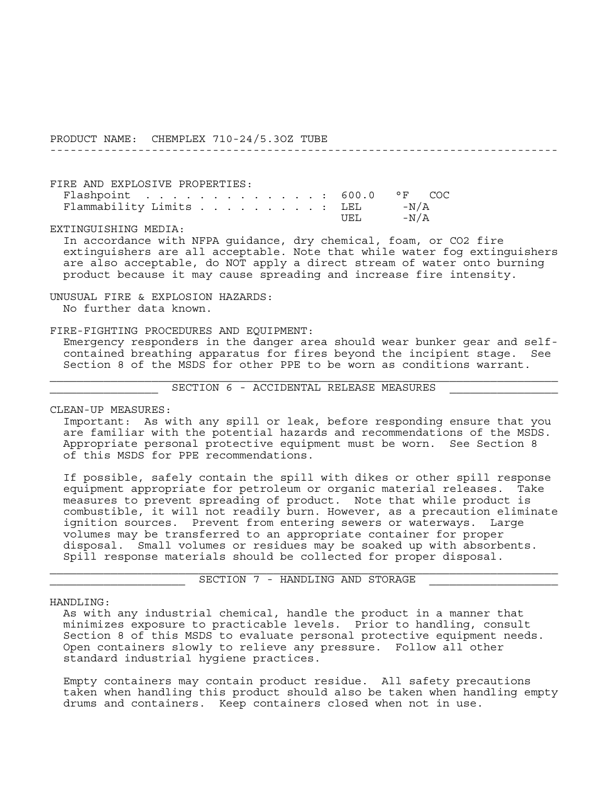PRODUCT NAME: CHEMPLEX 710-24/5.3OZ TUBE

---------------------------------------------------------------------------

 FIRE AND EXPLOSIVE PROPERTIES: Flashpoint . . . . . . . . . . . . . : 600.0 °F COC Flammability Limits . . . . . . . . . : LEL -N/A UEL -N/A

EXTINGUISHING MEDIA:

 In accordance with NFPA guidance, dry chemical, foam, or CO2 fire extinguishers are all acceptable. Note that while water fog extinguishers are also acceptable, do NOT apply a direct stream of water onto burning product because it may cause spreading and increase fire intensity.

 UNUSUAL FIRE & EXPLOSION HAZARDS: No further data known.

FIRE-FIGHTING PROCEDURES AND EQUIPMENT:

 Emergency responders in the danger area should wear bunker gear and self contained breathing apparatus for fires beyond the incipient stage. See Section 8 of the MSDS for other PPE to be worn as conditions warrant.

SECTION 6 - ACCIDENTAL RELEASE MEASURES

CLEAN-UP MEASURES:

 Important: As with any spill or leak, before responding ensure that you are familiar with the potential hazards and recommendations of the MSDS. Appropriate personal protective equipment must be worn. See Section 8 of this MSDS for PPE recommendations.

 If possible, safely contain the spill with dikes or other spill response equipment appropriate for petroleum or organic material releases. Take measures to prevent spreading of product. Note that while product is combustible, it will not readily burn. However, as a precaution eliminate ignition sources. Prevent from entering sewers or waterways. Large volumes may be transferred to an appropriate container for proper disposal. Small volumes or residues may be soaked up with absorbents. Spill response materials should be collected for proper disposal.

SECTION 7 - HANDLING AND STORAGE

# HANDLING:

 As with any industrial chemical, handle the product in a manner that minimizes exposure to practicable levels. Prior to handling, consult Section 8 of this MSDS to evaluate personal protective equipment needs. Open containers slowly to relieve any pressure. Follow all other standard industrial hygiene practices.

 Empty containers may contain product residue. All safety precautions taken when handling this product should also be taken when handling empty drums and containers. Keep containers closed when not in use.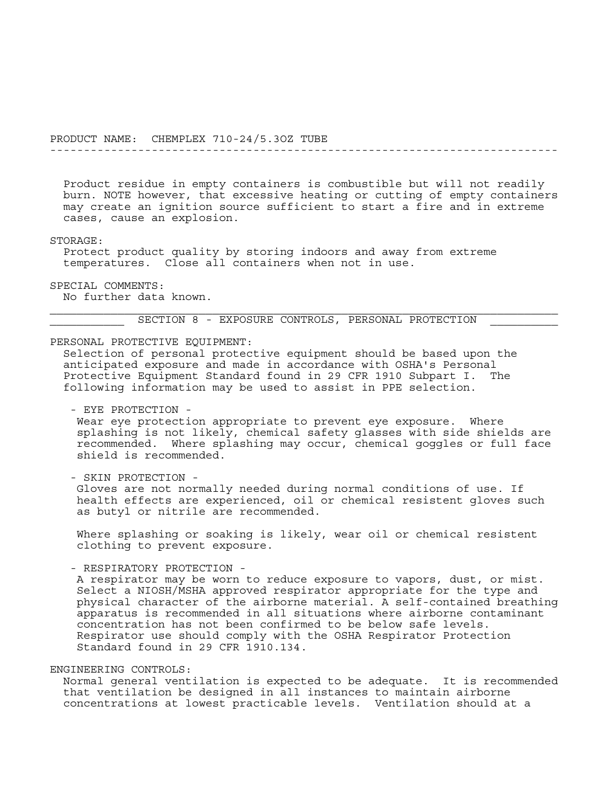Product residue in empty containers is combustible but will not readily burn. NOTE however, that excessive heating or cutting of empty containers may create an ignition source sufficient to start a fire and in extreme cases, cause an explosion.

---------------------------------------------------------------------------

#### STORAGE:

 Protect product quality by storing indoors and away from extreme temperatures. Close all containers when not in use.

SPECIAL COMMENTS:

No further data known.

SECTION 8 - EXPOSURE CONTROLS, PERSONAL PROTECTION

## PERSONAL PROTECTIVE EQUIPMENT:

 Selection of personal protective equipment should be based upon the anticipated exposure and made in accordance with OSHA's Personal Protective Equipment Standard found in 29 CFR 1910 Subpart I. The following information may be used to assist in PPE selection.

- EYE PROTECTION -

 Wear eye protection appropriate to prevent eye exposure. Where splashing is not likely, chemical safety glasses with side shields are recommended. Where splashing may occur, chemical goggles or full face shield is recommended.

- SKIN PROTECTION -

 Gloves are not normally needed during normal conditions of use. If health effects are experienced, oil or chemical resistent gloves such as butyl or nitrile are recommended.

 Where splashing or soaking is likely, wear oil or chemical resistent clothing to prevent exposure.

- RESPIRATORY PROTECTION -

 A respirator may be worn to reduce exposure to vapors, dust, or mist. Select a NIOSH/MSHA approved respirator appropriate for the type and physical character of the airborne material. A self-contained breathing apparatus is recommended in all situations where airborne contaminant concentration has not been confirmed to be below safe levels. Respirator use should comply with the OSHA Respirator Protection Standard found in 29 CFR 1910.134.

### ENGINEERING CONTROLS:

 Normal general ventilation is expected to be adequate. It is recommended that ventilation be designed in all instances to maintain airborne concentrations at lowest practicable levels. Ventilation should at a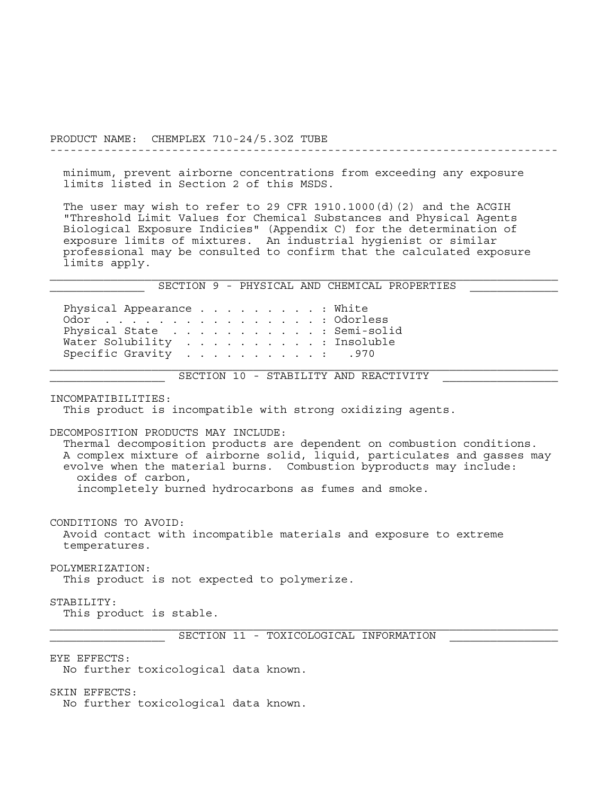PRODUCT NAME: CHEMPLEX 710-24/5.3OZ TUBE

---------------------------------------------------------------------------

 minimum, prevent airborne concentrations from exceeding any exposure limits listed in Section 2 of this MSDS.

 The user may wish to refer to 29 CFR 1910.1000(d)(2) and the ACGIH "Threshold Limit Values for Chemical Substances and Physical Agents Biological Exposure Indicies" (Appendix C) for the determination of exposure limits of mixtures. An industrial hygienist or similar professional may be consulted to confirm that the calculated exposure limits apply.

SECTION 9 - PHYSICAL AND CHEMICAL PROPERTIES

| Physical Appearance White  |  |  |  |  |  |  |
|----------------------------|--|--|--|--|--|--|
| Odor Odorless              |  |  |  |  |  |  |
| Physical State Semi-solid  |  |  |  |  |  |  |
| Water Solubility Tnsoluble |  |  |  |  |  |  |
| Specific Gravity 970       |  |  |  |  |  |  |
|                            |  |  |  |  |  |  |

SECTION 10 - STABILITY AND REACTIVITY

INCOMPATIBILITIES:

This product is incompatible with strong oxidizing agents.

DECOMPOSITION PRODUCTS MAY INCLUDE:

 Thermal decomposition products are dependent on combustion conditions. A complex mixture of airborne solid, liquid, particulates and gasses may evolve when the material burns. Combustion byproducts may include: oxides of carbon, incompletely burned hydrocarbons as fumes and smoke.

CONDITIONS TO AVOID:

 Avoid contact with incompatible materials and exposure to extreme temperatures.

POLYMERIZATION:

This product is not expected to polymerize.

# STABILITY:

This product is stable.

SECTION 11 - TOXICOLOGICAL INFORMATION

#### EYE EFFECTS:

No further toxicological data known.

#### SKIN EFFECTS:

No further toxicological data known.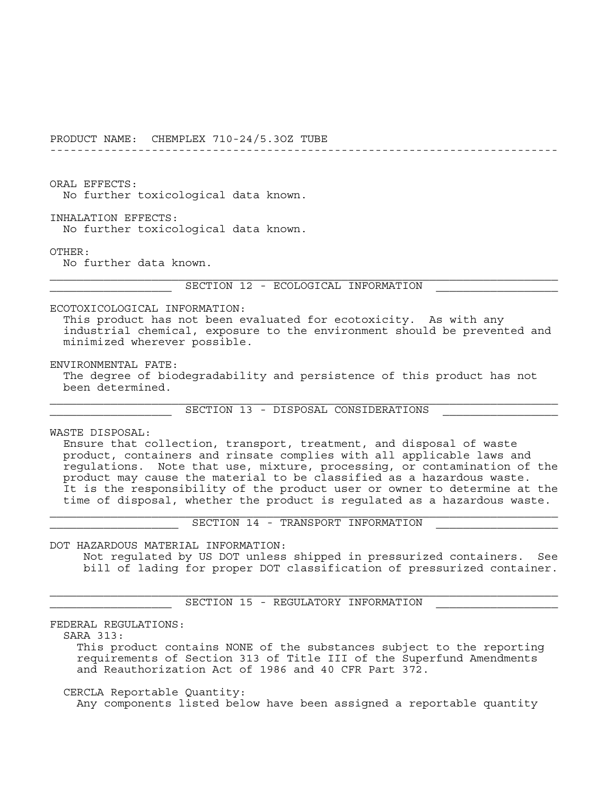PRODUCT NAME: CHEMPLEX 710-24/5.3OZ TUBE

---------------------------------------------------------------------------

ORAL EFFECTS:

No further toxicological data known.

 INHALATION EFFECTS: No further toxicological data known.

OTHER:

No further data known.

SECTION 12 - ECOLOGICAL INFORMATION

ECOTOXICOLOGICAL INFORMATION:

 This product has not been evaluated for ecotoxicity. As with any industrial chemical, exposure to the environment should be prevented and minimized wherever possible.

 ENVIRONMENTAL FATE: The degree of biodegradability and persistence of this product has not been determined.

\_\_\_\_\_\_\_\_\_\_\_\_\_\_\_\_\_\_\_\_\_\_ SECTION 13 - DISPOSAL CONSIDERATIONS

WASTE DISPOSAL:

 Ensure that collection, transport, treatment, and disposal of waste product, containers and rinsate complies with all applicable laws and regulations. Note that use, mixture, processing, or contamination of the product may cause the material to be classified as a hazardous waste. It is the responsibility of the product user or owner to determine at the time of disposal, whether the product is regulated as a hazardous waste.

SECTION 14 - TRANSPORT INFORMATION

DOT HAZARDOUS MATERIAL INFORMATION:

 Not regulated by US DOT unless shipped in pressurized containers. See bill of lading for proper DOT classification of pressurized container.

SECTION 15 - REGULATORY INFORMATION

FEDERAL REGULATIONS:

SARA 313:

 This product contains NONE of the substances subject to the reporting requirements of Section 313 of Title III of the Superfund Amendments and Reauthorization Act of 1986 and 40 CFR Part 372.

 CERCLA Reportable Quantity: Any components listed below have been assigned a reportable quantity